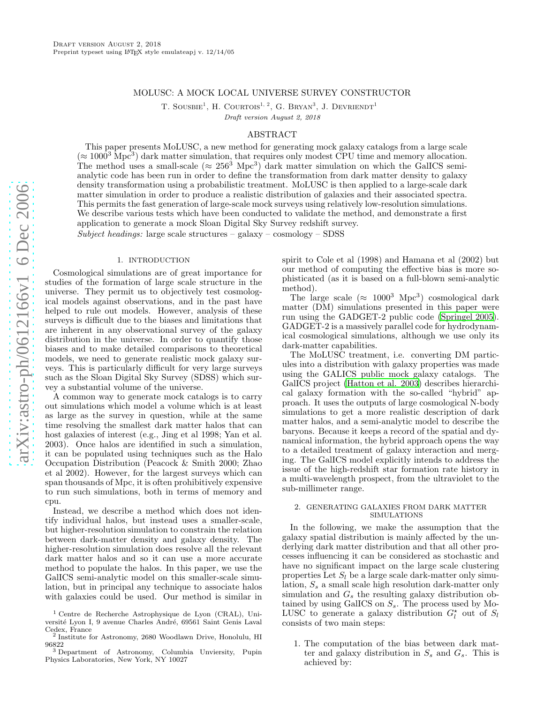# MOLUSC: A MOCK LOCAL UNIVERSE SURVEY CONSTRUCTOR

T. SOUSBIE<sup>1</sup>, H. COURTOIS<sup>1, 2</sup>, G. BRYAN<sup>3</sup>, J. DEVRIENDT<sup>1</sup>

Draft version August 2, 2018

### ABSTRACT

This paper presents MoLUSC, a new method for generating mock galaxy catalogs from a large scale  $(\approx 1000^3 \text{ Mpc}^3)$  dark matter simulation, that requires only modest CPU time and memory allocation. The method uses a small-scale ( $\approx 256^3$  Mpc<sup>3</sup>) dark matter simulation on which the GalICS semianalytic code has been run in order to define the transformation from dark matter density to galaxy density transformation using a probabilistic treatment. MoLUSC is then applied to a large-scale dark matter simulation in order to produce a realistic distribution of galaxies and their associated spectra. This permits the fast generation of large-scale mock surveys using relatively low-resolution simulations. We describe various tests which have been conducted to validate the method, and demonstrate a first application to generate a mock Sloan Digital Sky Survey redshift survey.

Subject headings: large scale structures – galaxy – cosmology – SDSS

## 1. INTRODUCTION

Cosmological simulations are of great importance for studies of the formation of large scale structure in the universe. They permit us to objectively test cosmological models against observations, and in the past have helped to rule out models. However, analysis of these surveys is difficult due to the biases and limitations that are inherent in any observational survey of the galaxy distribution in the universe. In order to quantify those biases and to make detailed comparisons to theoretical models, we need to generate realistic mock galaxy surveys. This is particularly difficult for very large surveys such as the Sloan Digital Sky Survey (SDSS) which survey a substantial volume of the universe.

A common way to generate mock catalogs is to carry out simulations which model a volume which is at least as large as the survey in question, while at the same time resolving the smallest dark matter halos that can host galaxies of interest (e.g., Jing et al 1998; Yan et al. 2003). Once halos are identified in such a simulation, it can be populated using techniques such as the Halo Occupation Distribution (Peacock & Smith 2000; Zhao et al 2002). However, for the largest surveys which can span thousands of Mpc, it is often prohibitively expensive to run such simulations, both in terms of memory and cpu.

Instead, we describe a method which does not identify individual halos, but instead uses a smaller-scale, but higher-resolution simulation to constrain the relation between dark-matter density and galaxy density. The higher-resolution simulation does resolve all the relevant dark matter halos and so it can use a more accurate method to populate the halos. In this paper, we use the GalICS semi-analytic model on this smaller-scale simulation, but in principal any technique to associate halos with galaxies could be used. Our method is similar in spirit to Cole et al (1998) and Hamana et al (2002) but our method of computing the effective bias is more sophisticated (as it is based on a full-blown semi-analytic method).

The large scale ( $\approx 1000^3$  Mpc<sup>3</sup>) cosmological dark matter (DM) simulations presented in this paper were run using the GADGET-2 public code [\(Springel 2005](#page-6-0)). GADGET-2 is a massively parallel code for hydrodynamical cosmological simulations, although we use only its dark-matter capabilities.

The MoLUSC treatment, i.e. converting DM particules into a distribution with galaxy properties was made using the GALICS public mock galaxy catalogs. The GalICS project [\(Hatton et al. 2003](#page-6-1)) describes hierarchical galaxy formation with the so-called "hybrid" approach. It uses the outputs of large cosmological N-body simulations to get a more realistic description of dark matter halos, and a semi-analytic model to describe the baryons. Because it keeps a record of the spatial and dynamical information, the hybrid approach opens the way to a detailed treatment of galaxy interaction and merging. The GalICS model explicitly intends to address the issue of the high-redshift star formation rate history in a multi-wavelength prospect, from the ultraviolet to the sub-millimeter range.

### 2. GENERATING GALAXIES FROM DARK MATTER SIMULATIONS

In the following, we make the assumption that the galaxy spatial distribution is mainly affected by the underlying dark matter distribution and that all other processes influencing it can be considered as stochastic and have no significant impact on the large scale clustering properties Let  $S_l$  be a large scale dark-matter only simulation,  $S_s$  a small scale high resolution dark-matter only simulation and  $G_s$  the resulting galaxy distribution obtained by using GalICS on  $S_s$ . The process used by Mo-LUSC to generate a galaxy distribution  $G_l^*$  out of  $S_l$ consists of two main steps:

1. The computation of the bias between dark matter and galaxy distribution in  $S_s$  and  $G_s$ . This is achieved by:

<sup>1</sup> Centre de Recherche Astrophysique de Lyon (CRAL), Université Lyon I, 9 avenue Charles André, 69561 Saint Genis Laval Cedex, France

 $^2$ Institute for Astronomy, 2680 Woodlawn Drive, Honolulu, HI $96822$ <sup>96822</sup> <sup>3</sup> Department of Astronomy, Columbia Unviersity, Pupin

Physics Laboratories, New York, NY 10027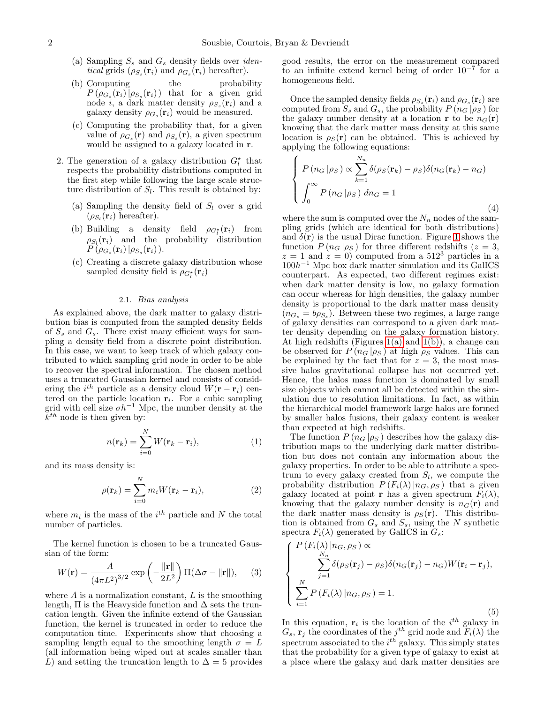- (a) Sampling  $S_s$  and  $G_s$  density fields over *identical* grids  $(\rho_{S_s}(\mathbf{r}_i)$  and  $\rho_{G_s}(\mathbf{r}_i)$  hereafter).
- (b) Computing the probability  $P(\rho_{G_s}(\mathbf{r}_i)|\rho_{S_s}(\mathbf{r}_i))$  that for a given grid node *i*, a dark matter density  $\rho_{S_s}(\mathbf{r}_i)$  and a galaxy density  $\rho_{G_s}(\mathbf{r}_i)$  would be measured.
- (c) Computing the probability that, for a given value of  $\rho_{G_s}(\mathbf{r})$  and  $\rho_{S_s}(\mathbf{r})$ , a given spectrum would be assigned to a galaxy located in r.
- 2. The generation of a galaxy distribution  $G_l^*$  that respects the probability distributions computed in the first step while following the large scale structure distribution of  $S_l$ . This result is obtained by:
	- (a) Sampling the density field of  $S_l$  over a grid  $(\rho_{S_l}(\mathbf{r}_i)$  hereafter).
	- (b) Building a density field  $\rho_{G_l^*}(\mathbf{r}_i)$  from  $\rho_{S_l}(\mathbf{r}_i)$  and the probability distribution  $\Pr^{\sim}(\rho_{G_s}(\mathbf{r}_i)\,|\rho_{S_s}(\mathbf{r}_i))$ .
	- (c) Creating a discrete galaxy distribution whose sampled density field is  $\rho_{G_l^*}(\mathbf{r}_i)$

#### 2.1. Bias analysis

As explained above, the dark matter to galaxy distribution bias is computed from the sampled density fields of  $S_s$  and  $G_s$ . There exist many efficient ways for sampling a density field from a discrete point distribution. In this case, we want to keep track of which galaxy contributed to which sampling grid node in order to be able to recover the spectral information. The chosen method uses a truncated Gaussian kernel and consists of considering the  $i^{th}$  particle as a density cloud  $W(\mathbf{r} - \mathbf{r}_i)$  centered on the particle location  $\mathbf{r}_i$ . For a cubic sampling grid with cell size  $\sigma h^{-1}$  Mpc, the number density at the  $k^{th}$  node is then given by:

$$
n(\mathbf{r}_k) = \sum_{i=0}^{N} W(\mathbf{r}_k - \mathbf{r}_i),
$$
 (1)

and its mass density is:

$$
\rho(\mathbf{r}_k) = \sum_{i=0}^{N} m_i W(\mathbf{r}_k - \mathbf{r}_i),
$$
\n(2)

where  $m_i$  is the mass of the  $i^{th}$  particle and N the total number of particles.

The kernel function is chosen to be a truncated Gaussian of the form:

$$
W(\mathbf{r}) = \frac{A}{\left(4\pi L^2\right)^{3/2}} \exp\left(-\frac{\|\mathbf{r}\|}{2L^2}\right) \Pi(\Delta \sigma - \|\mathbf{r}\|),\tag{3}
$$

where  $A$  is a normalization constant,  $L$  is the smoothing length,  $\Pi$  is the Heavyside function and  $\Delta$  sets the truncation length. Given the infinite extend of the Gaussian function, the kernel is truncated in order to reduce the computation time. Experiments show that choosing a sampling length equal to the smoothing length  $\sigma = L$ (all information being wiped out at scales smaller than L) and setting the truncation length to  $\Delta = 5$  provides

good results, the error on the measurement compared to an infinite extend kernel being of order  $10^{-7}$  for a homogeneous field.

Once the sampled density fields  $\rho_{S_s}(\mathbf{r}_i)$  and  $\rho_{G_s}(\mathbf{r}_i)$  are computed from  $S_s$  and  $G_s$ , the probability  $P(n_G|\rho_S)$  for the galaxy number density at a location **r** to be  $n_G(\mathbf{r})$ knowing that the dark matter mass density at this same location is  $\rho_S(\mathbf{r})$  can be obtained. This is achieved by applying the following equations:

$$
\begin{cases}\nP(n_G|\rho_S) \propto \sum_{k=1}^{N_n} \delta(\rho_S(\mathbf{r}_k) - \rho_S) \delta(n_G(\mathbf{r}_k) - n_G) \\
\int_0^\infty P(n_G|\rho_S) \, dn_G = 1\n\end{cases}
$$
\n(4)

where the sum is computed over the  $N_n$  nodes of the sampling grids (which are identical for both distributions) and  $\delta(\mathbf{r})$  is the usual Dirac function. Figure [1](#page-2-0) shows the function  $P(n_G | \rho_S)$  for three different redshifts ( $z = 3$ ,  $z = 1$  and  $z = 0$ ) computed from a 512<sup>3</sup> particles in a  $100h^{-1}$  Mpc box dark matter simulation and its GalICS counterpart. As expected, two different regimes exist: when dark matter density is low, no galaxy formation can occur whereas for high densities, the galaxy number density is proportional to the dark matter mass density  $(n_{G_s} = b\rho_{S_s})$ . Between these two regimes, a large range of galaxy densities can correspond to a given dark matter density depending on the galaxy formation history. At high redshifts (Figures  $1(a)$  and  $1(b)$ ), a change can be observed for  $P(n_G|\rho_S)$  at high  $\rho_S$  values. This can be explained by the fact that for  $z = 3$ , the most massive halos gravitational collapse has not occurred yet. Hence, the halos mass function is dominated by small size objects which cannot all be detected within the simulation due to resolution limitations. In fact, as within the hierarchical model framework large halos are formed by smaller halos fusions, their galaxy content is weaker than expected at high redshifts.

The function  $P(n_G|\rho_S)$  describes how the galaxy distribution maps to the underlying dark matter distribution but does not contain any information about the galaxy properties. In order to be able to attribute a spectrum to every galaxy created from  $S_l$ , we compute the probability distribution  $P(F_i(\lambda)|n_G, \rho_S)$  that a given galaxy located at point **r** has a given spectrum  $F_i(\lambda)$ , knowing that the galaxy number density is  $n_G(\mathbf{r})$  and the dark matter mass density is  $\rho_S(\mathbf{r})$ . This distribution is obtained from  $G_s$  and  $S_s$ , using the N synthetic spectra  $F_i(\lambda)$  generated by GalICS in  $G_s$ :

$$
\begin{cases}\nP(F_i(\lambda)|n_G, \rho_S) \propto \\
\sum_{j=1}^{N_n} \delta(\rho_S(\mathbf{r}_j) - \rho_S) \delta(n_G(\mathbf{r}_j) - n_G) W(\mathbf{r}_i - \mathbf{r}_j), \\
\sum_{i=1}^{N} P(F_i(\lambda)|n_G, \rho_S) = 1.\n\end{cases}
$$
\n(5)

In this equation,  $\mathbf{r}_i$  is the location of the  $i^{th}$  galaxy in  $G_s$ ,  $\mathbf{r}_j$  the coordinates of the j<sup>th</sup> grid node and  $\widetilde{F}_i(\lambda)$  the spectrum associated to the  $i^{th}$  galaxy. This simply states that the probability for a given type of galaxy to exist at a place where the galaxy and dark matter densities are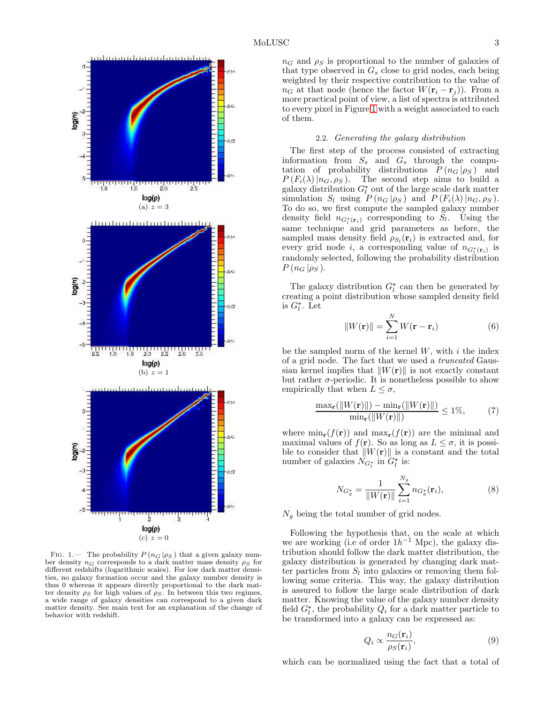<span id="page-2-2"></span><span id="page-2-1"></span>

<span id="page-2-0"></span>FIG. 1.— The probability  $P(n_G | \rho_S)$  that a given galaxy number density  $n_G$  corresponds to a dark matter mass density  $\rho_S$  for different redshifts (logarithmic scales). For low dark matter densities, no galaxy formation occur and the galaxy number density is thus 0 whereas it appears directly proportional to the dark matter density  $\rho_S$  for high values of  $\rho_S$ . In between this two regimes, a wide range of galaxy densities can correspond to a given dark matter density. See main text for an explanation of the change of behavior with redshift.

### 2.2. Generating the galaxy distribution

The first step of the process consisted of extracting information from  $S_s$  and  $G_s$  through the computation of probability distributions  $P(n_G | \rho_S)$  and  $P(F_i(\lambda)|n_G, \rho_S)$ . The second step aims to build a galaxy distribution  $G_l^*$  out of the large scale dark matter simulation  $S_l$  using  $P(n_G|\rho_S)$  and  $P(F_i(\lambda)|n_G, \rho_S)$ . To do so, we first compute the sampled galaxy number density field  $n_{G_l^*(\mathbf{r}_i)}$  corresponding to  $S_l$ . Using the same technique and grid parameters as before, the sampled mass density field  $\rho_{S_l}(\mathbf{r}_i)$  is extracted and, for every grid node *i*, a corresponding value of  $n_{G_l^{\star}(\mathbf{r}_i)}$  is randomly selected, following the probability distribution  $P(n_G|\rho_S)$ .

The galaxy distribution  $G_l^*$  can then be generated by creating a point distribution whose sampled density field is  $G_l^*$ . Let

$$
||W(\mathbf{r})|| = \sum_{i=1}^{N} W(\mathbf{r} - \mathbf{r}_i)
$$
 (6)

be the sampled norm of the kernel  $W$ , with  $i$  the index of a grid node. The fact that we used a truncated Gaussian kernel implies that  $||W(\mathbf{r})||$  is not exactly constant but rather  $\sigma$ -periodic. It is nonetheless possible to show empirically that when  $L \leq \sigma$ ,

$$
\frac{\max_{\mathbf{r}}(||W(\mathbf{r})||) - \min_{\mathbf{r}}(||W(\mathbf{r})||)}{\min_{\mathbf{r}}(||W(\mathbf{r})||)} \le 1\%,\tag{7}
$$

where  $\min_{\mathbf{r}}(f(\mathbf{r}))$  and  $\max_{\mathbf{r}}(f(\mathbf{r}))$  are the minimal and maximal values of  $f(\mathbf{r})$ . So as long as  $L \leq \sigma$ , it is possible to consider that  $||W(\mathbf{r})||$  is a constant and the total number of galaxies  $N_{G_l^*}$  in  $G_l^*$  is:

$$
N_{G_g^*} = \frac{1}{\|W(\mathbf{r})\|} \sum_{i=1}^{N_g} n_{G_g^*}(\mathbf{r}_i),\tag{8}
$$

 $N<sub>g</sub>$  being the total number of grid nodes.

Following the hypothesis that, on the scale at which we are working (i.e of order  $1h^{-1}$  Mpc), the galaxy distribution should follow the dark matter distribution, the galaxy distribution is generated by changing dark matter particles from  $S_l$  into galaxies or removing them following some criteria. This way, the galaxy distribution is assured to follow the large scale distribution of dark matter. Knowing the value of the galaxy number density field  $G_l^*$ , the probability  $Q_i$  for a dark matter particle to be transformed into a galaxy can be expressed as:

$$
Q_i \propto \frac{n_G(\mathbf{r}_i)}{\rho_S(\mathbf{r}_i)},\tag{9}
$$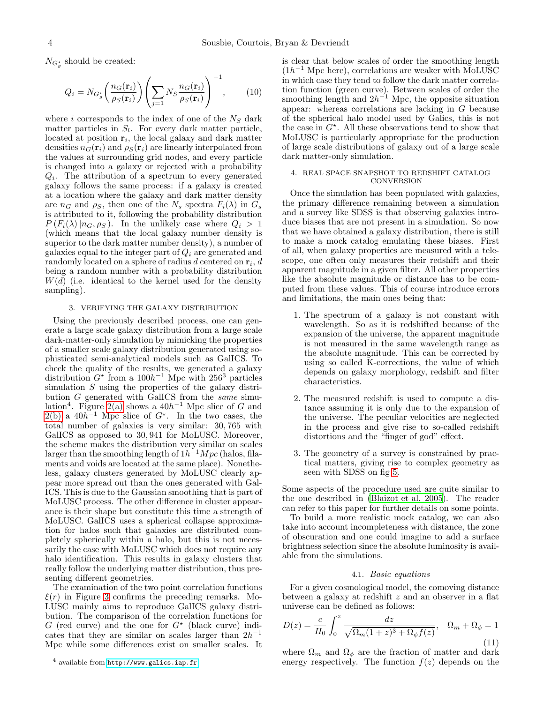$N_{G_g^*}$  should be created:

$$
Q_i = N_{G_g^*} \left( \frac{n_G(\mathbf{r}_i)}{\rho_S(\mathbf{r}_i)} \right) \left( \sum_{j=1} N_S \frac{n_G(\mathbf{r}_i)}{\rho_S(\mathbf{r}_i)} \right)^{-1}, \qquad (10)
$$

where i corresponds to the index of one of the  $N<sub>S</sub>$  dark matter particles in  $S_l$ . For every dark matter particle, located at position  $\mathbf{r}_i$ , the local galaxy and dark matter densities  $n_G(\mathbf{r}_i)$  and  $\rho_S(\mathbf{r}_i)$  are linearly interpolated from the values at surrounding grid nodes, and every particle is changed into a galaxy or rejected with a probability  $Q_i$ . The attribution of a spectrum to every generated galaxy follows the same process: if a galaxy is created at a location where the galaxy and dark matter density are  $n_G$  and  $\rho_S$ , then one of the  $N_s$  spectra  $F_i(\lambda)$  in  $G_s$ is attributed to it, following the probability distribution  $P(F_i(\lambda) | n_G, \rho_S)$ . In the unlikely case where  $Q_i > 1$ (which means that the local galaxy number density is superior to the dark matter number density), a number of galaxies equal to the integer part of  $Q_i$  are generated and randomly located on a sphere of radius d centered on  $\mathbf{r}_i$ , d being a random number with a probability distribution  $W(d)$  (i.e. identical to the kernel used for the density sampling).

#### 3. VERIFYING THE GALAXY DISTRIBUTION

Using the previously described process, one can generate a large scale galaxy distribution from a large scale dark-matter-only simulation by mimicking the properties of a smaller scale galaxy distribution generated using sophisticated semi-analytical models such as GalICS. To check the quality of the results, we generated a galaxy distribution  $G^*$  from a  $100h^{-1}$  Mpc with 256<sup>3</sup> particles simulation S using the properties of the galaxy distribution  $G$  generated with GalICS from the same simu-lation<sup>4</sup>. Figure [2\(a\)](#page-4-0) shows a  $40h^{-1}$  Mpc slice of G and  $2(b)$  a  $40h^{-1}$  Mpc slice of  $G^*$ . In the two cases, the total number of galaxies is very similar: 30, 765 with GalICS as opposed to 30, 941 for MoLUSC. Moreover, the scheme makes the distribution very similar on scales larger than the smoothing length of  $1h^{-1}Mpc$  (halos, filaments and voids are located at the same place). Nonetheless, galaxy clusters generated by MoLUSC clearly appear more spread out than the ones generated with Gal-ICS. This is due to the Gaussian smoothing that is part of MoLUSC process. The other difference in cluster appearance is their shape but constitute this time a strength of MoLUSC. GalICS uses a spherical collapse approximation for halos such that galaxies are distributed completely spherically within a halo, but this is not necessarily the case with MoLUSC which does not require any halo identification. This results in galaxy clusters that really follow the underlying matter distribution, thus presenting different geometries.

The examination of the two point correlation functions  $\xi(r)$  in Figure [3](#page-4-2) confirms the preceding remarks. Mo-LUSC mainly aims to reproduce GalICS galaxy distribution. The comparison of the correlation functions for  $G$  (red curve) and the one for  $G^*$  (black curve) indicates that they are similar on scales larger than  $2h^{-1}$ Mpc while some differences exist on smaller scales. It

is clear that below scales of order the smoothing length  $(1h^{-1}$  Mpc here), correlations are weaker with MoLUSC in which case they tend to follow the dark matter correlation function (green curve). Between scales of order the smoothing length and  $2h^{-1}$  Mpc, the opposite situation appear: whereas correlations are lacking in G because of the spherical halo model used by Galics, this is not the case in  $G^*$ . All these observations tend to show that MoLUSC is particularly appropriate for the production of large scale distributions of galaxy out of a large scale dark matter-only simulation.

#### 4. REAL SPACE SNAPSHOT TO REDSHIFT CATALOG **CONVERSION**

Once the simulation has been populated with galaxies, the primary difference remaining between a simulation and a survey like SDSS is that observing galaxies introduce biases that are not present in a simulation. So now that we have obtained a galaxy distribution, there is still to make a mock catalog emulating these biases. First of all, when galaxy properties are measured with a telescope, one often only measures their redshift and their apparent magnitude in a given filter. All other properties like the absolute magnitude or distance has to be computed from these values. This of course introduce errors and limitations, the main ones being that:

- 1. The spectrum of a galaxy is not constant with wavelength. So as it is redshifted because of the expansion of the universe, the apparent magnitude is not measured in the same wavelength range as the absolute magnitude. This can be corrected by using so called K-corrections, the value of which depends on galaxy morphology, redshift and filter characteristics.
- 2. The measured redshift is used to compute a distance assuming it is only due to the expansion of the universe. The peculiar velocities are neglected in the process and give rise to so-called redshift distortions and the "finger of god" effect.
- 3. The geometry of a survey is constrained by practical matters, giving rise to complex geometry as seen with SDSS on fig [5.](#page-7-0)

Some aspects of the procedure used are quite similar to the one described in [\(Blaizot et al. 2005](#page-6-2)). The reader can refer to this paper for further details on some points.

To build a more realistic mock catalog, we can also take into account incompleteness with distance, the zone of obscuration and one could imagine to add a surface brightness selection since the absolute luminosity is available from the simulations.

#### 4.1. Basic equations

For a given cosmological model, the comoving distance between a galaxy at redshift z and an observer in a flat universe can be defined as follows:

<span id="page-3-0"></span>
$$
D(z) = \frac{c}{H_0} \int_0^z \frac{dz}{\sqrt{\Omega_m (1+z)^3 + \Omega_\phi f(z)}}, \quad \Omega_m + \Omega_\phi = 1
$$
\n(11)

where  $\Omega_m$  and  $\Omega_\phi$  are the fraction of matter and dark energy respectively. The function  $f(z)$  depends on the

<sup>4</sup> available from <http://www.galics.iap.fr>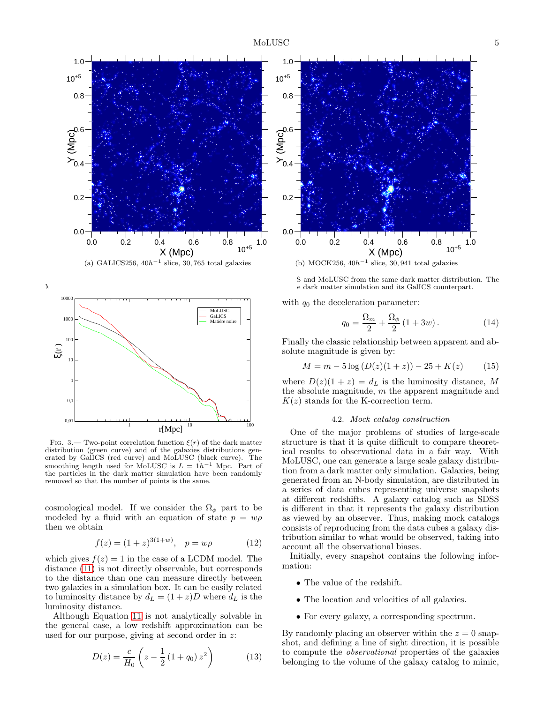<span id="page-4-0"></span>



<span id="page-4-2"></span>FIG. 3.— Two-point correlation function  $\xi(r)$  of the dark matter distribution (green curve) and of the galaxies distributions generated by GalICS (red curve) and MoLUSC (black curve). The smoothing length used for MoLUSC is  $L = 1h^{-1}$  Mpc. Part of the particles in the dark matter simulation have been randomly removed so that the number of points is the same.

cosmological model. If we consider the  $\Omega_{\phi}$  part to be modeled by a fluid with an equation of state  $p = w\rho$ then we obtain

$$
f(z) = (1+z)^{3(1+w)}, \quad p = w\rho \tag{12}
$$

which gives  $f(z) = 1$  in the case of a LCDM model. The distance [\(11\)](#page-3-0) is not directly observable, but corresponds to the distance than one can measure directly between two galaxies in a simulation box. It can be easily related to luminosity distance by  $d_L = (1 + z)D$  where  $d_L$  is the luminosity distance.

Although Equation [11](#page-3-0) is not analytically solvable in the general case, a low redshift approximation can be used for our purpose, giving at second order in z:

$$
D(z) = \frac{c}{H_0} \left( z - \frac{1}{2} \left( 1 + q_0 \right) z^2 \right) \tag{13}
$$



S and MoLUSC from the same dark matter distribution. The MoLUSC version was computed with a 1h−1 Mpc smoothing length from the dark matter simulation and its GalICS counterpart.

<span id="page-4-1"></span>with  $q_0$  the deceleration parameter:

$$
q_0 = \frac{\Omega_m}{2} + \frac{\Omega_\phi}{2} (1 + 3w). \tag{14}
$$

Finally the classic relationship between apparent and absolute magnitude is given by:

$$
M = m - 5\log(D(z)(1+z)) - 25 + K(z)
$$
 (15)

where  $D(z)(1 + z) = d<sub>L</sub>$  is the luminosity distance, M the absolute magnitude, m the apparent magnitude and  $K(z)$  stands for the K-correction term.

## 4.2. Mock catalog construction

One of the major problems of studies of large-scale structure is that it is quite difficult to compare theoretical results to observational data in a fair way. With MoLUSC, one can generate a large scale galaxy distribution from a dark matter only simulation. Galaxies, being generated from an N-body simulation, are distributed in a series of data cubes representing universe snapshots at different redshifts. A galaxy catalog such as SDSS is different in that it represents the galaxy distribution as viewed by an observer. Thus, making mock catalogs consists of reproducing from the data cubes a galaxy distribution similar to what would be observed, taking into account all the observational biases.

Initially, every snapshot contains the following information:

- The value of the redshift.
- The location and velocities of all galaxies.
- For every galaxy, a corresponding spectrum.

By randomly placing an observer within the  $z = 0$  snapshot, and defining a line of sight direction, it is possible to compute the observational properties of the galaxies belonging to the volume of the galaxy catalog to mimic,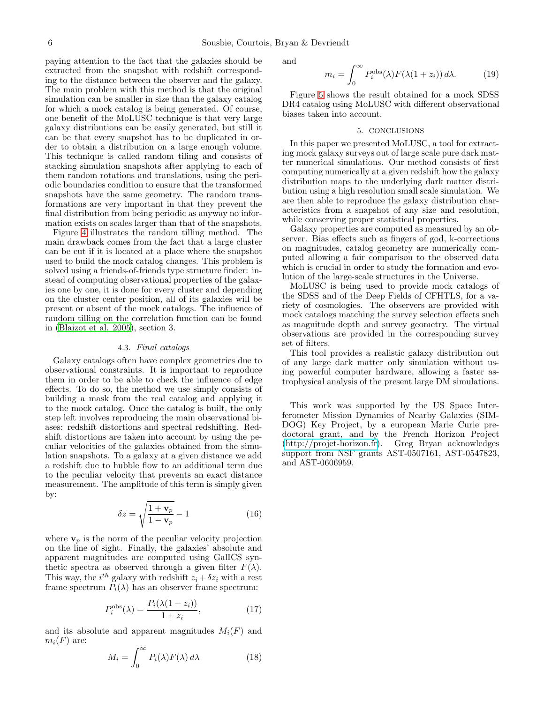paying attention to the fact that the galaxies should be extracted from the snapshot with redshift corresponding to the distance between the observer and the galaxy. The main problem with this method is that the original simulation can be smaller in size than the galaxy catalog for which a mock catalog is being generated. Of course, one benefit of the MoLUSC technique is that very large galaxy distributions can be easily generated, but still it can be that every snapshot has to be duplicated in order to obtain a distribution on a large enough volume. This technique is called random tiling and consists of stacking simulation snapshots after applying to each of them random rotations and translations, using the periodic boundaries condition to ensure that the transformed snapshots have the same geometry. The random transformations are very important in that they prevent the final distribution from being periodic as anyway no information exists on scales larger than that of the snapshots.

Figure [4](#page-6-3) illustrates the random tilling method. The main drawback comes from the fact that a large cluster can be cut if it is located at a place where the snapshot used to build the mock catalog changes. This problem is solved using a friends-of-friends type structure finder: instead of computing observational properties of the galaxies one by one, it is done for every cluster and depending on the cluster center position, all of its galaxies will be present or absent of the mock catalogs. The influence of random tilling on the correlation function can be found in [\(Blaizot et al. 2005\)](#page-6-2), section 3.

## 4.3. Final catalogs

Galaxy catalogs often have complex geometries due to observational constraints. It is important to reproduce them in order to be able to check the influence of edge effects. To do so, the method we use simply consists of building a mask from the real catalog and applying it to the mock catalog. Once the catalog is built, the only step left involves reproducing the main observational biases: redshift distortions and spectral redshifting. Redshift distortions are taken into account by using the peculiar velocities of the galaxies obtained from the simulation snapshots. To a galaxy at a given distance we add a redshift due to hubble flow to an additional term due to the peculiar velocity that prevents an exact distance measurement. The amplitude of this term is simply given by:

$$
\delta z = \sqrt{\frac{1 + \mathbf{v}_p}{1 - \mathbf{v}_p}} - 1\tag{16}
$$

where  $v_p$  is the norm of the peculiar velocity projection on the line of sight. Finally, the galaxies' absolute and apparent magnitudes are computed using GalICS synthetic spectra as observed through a given filter  $F(\lambda)$ . This way, the  $i^{th}$  galaxy with redshift  $z_i + \delta z_i$  with a rest frame spectrum  $\tilde{P}_i(\lambda)$  has an observer frame spectrum:

$$
P_i^{\text{obs}}(\lambda) = \frac{P_i(\lambda(1+z_i))}{1+z_i},\tag{17}
$$

and its absolute and apparent magnitudes  $M_i(F)$  and  $m_i(F)$  are:

$$
M_i = \int_0^\infty P_i(\lambda) F(\lambda) d\lambda \tag{18}
$$

and

$$
m_i = \int_0^\infty P_i^{\text{obs}}(\lambda) F(\lambda(1+z_i)) d\lambda.
$$
 (19)

Figure [5](#page-7-0) shows the result obtained for a mock SDSS DR4 catalog using MoLUSC with different observational biases taken into account.

#### 5. CONCLUSIONS

In this paper we presented MoLUSC, a tool for extracting mock galaxy surveys out of large scale pure dark matter numerical simulations. Our method consists of first computing numerically at a given redshift how the galaxy distribution maps to the underlying dark matter distribution using a high resolution small scale simulation. We are then able to reproduce the galaxy distribution characteristics from a snapshot of any size and resolution, while conserving proper statistical properties.

Galaxy properties are computed as measured by an observer. Bias effects such as fingers of god, k-corrections on magnitudes, catalog geometry are numerically computed allowing a fair comparison to the observed data which is crucial in order to study the formation and evolution of the large-scale structures in the Universe.

MoLUSC is being used to provide mock catalogs of the SDSS and of the Deep Fields of CFHTLS, for a variety of cosmologies. The observers are provided with mock catalogs matching the survey selection effects such as magnitude depth and survey geometry. The virtual observations are provided in the corresponding survey set of filters.

This tool provides a realistic galaxy distribution out of any large dark matter only simulation without using powerful computer hardware, allowing a faster astrophysical analysis of the present large DM simulations.

This work was supported by the US Space Interferometer Mission Dynamics of Nearby Galaxies (SIM-DOG) Key Project, by a european Marie Curie predoctoral grant, and by the French Horizon Project [\(http://projet-horizon.fr\)](http://projet-horizon.fr). Greg Bryan acknowledges support from NSF grants AST-0507161, AST-0547823, and AST-0606959.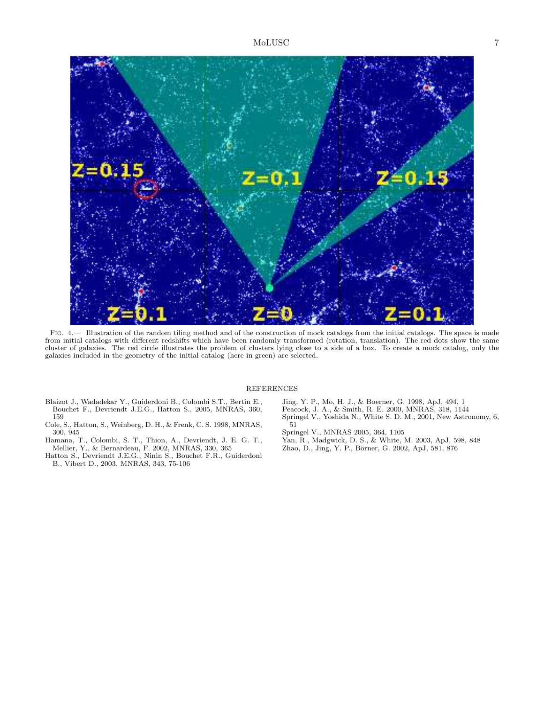

Fig. 4.— Illustration of the random tiling method and of the construction of mock catalogs from the initial catalogs. The space is made from initial catalogs with different redshifts which have been randomly transformed (rotation, translation). The red dots show the same cluster of galaxies. The red circle illustrates the problem of clusters lying close to a side of a box. To create a mock catalog, only the galaxies included in the geometry of the initial catalog (here in green) are selected.

## REFERENCES

- <span id="page-6-3"></span><span id="page-6-2"></span>Blaizot J., Wadadekar Y., Guiderdoni B., Colombi S.T., Bertin E., Bouchet F., Devriendt J.E.G., Hatton S., 2005, MNRAS, 360, 159
- Cole, S., Hatton, S., Weinberg, D. H., & Frenk, C. S. 1998, MNRAS, 300, 945
- Hamana, T., Colombi, S. T., Thion, A., Devriendt, J. E. G. T., Mellier, Y., & Bernardeau, F. 2002, MNRAS, 330, 365
- <span id="page-6-1"></span>Hatton S., Devriendt J.E.G., Ninin S., Bouchet F.R., Guiderdoni B., Vibert D., 2003, MNRAS, 343, 75-106

Jing, Y. P., Mo, H. J., & Boerner, G. 1998, ApJ, 494, 1 Peacock, J. A., & Smith, R. E. 2000, MNRAS, 318, 1144 Springel V., Yoshida N., White S. D. M., 2001, New Astronomy, 6, 51

<span id="page-6-0"></span>Springel V., MNRAS 2005, 364, 1105

- Yan, R., Madgwick, D. S., & White, M. 2003, ApJ, 598, 848 Zhao, D., Jing, Y. P., Börner, G. 2002, ApJ, 581, 876
-